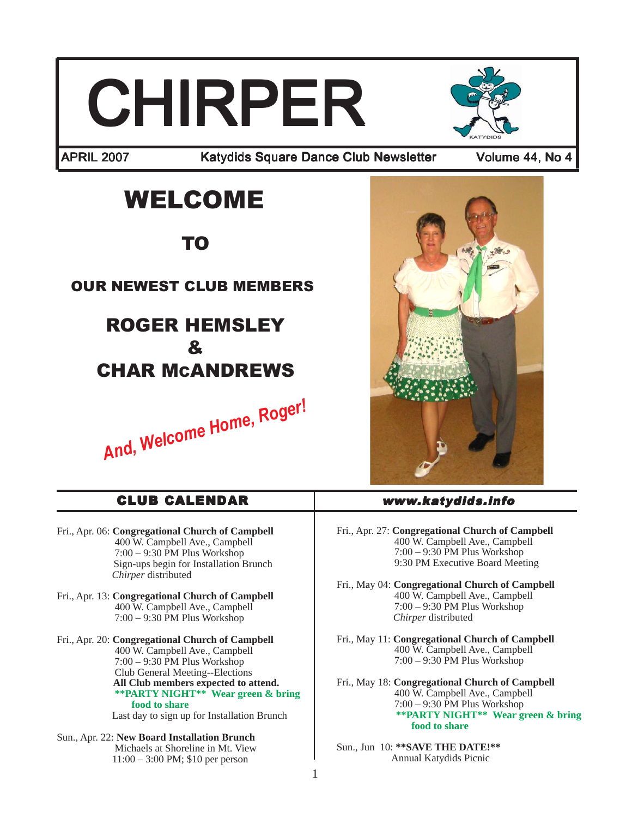# **CHIRPER**



APRIL 2007 Katydids Square Dance Club Newsletter Volume 44, No 4

# WELCOME

TO

## OUR NEWEST CLUB MEMBERS

## ROGER HEMSLEY & CHAR MCANDREWS

*And, Welcome Home, Roger!*



#### Fri., Apr. 06: **Congregational Church of Campbell** 400 W. Campbell Ave., Campbell 7:00 – 9:30 PM Plus Workshop Sign-ups begin for Installation Brunch *Chirper* distributed Fri., Apr. 13: **Congregational Church of Campbell** 400 W. Campbell Ave., Campbell 7:00 – 9:30 PM Plus Workshop Fri., Apr. 20: **Congregational Church of Campbell** 400 W. Campbell Ave., Campbell  $7:00 - 9:30$  PM Plus Workshop Club General Meeting--Elections **All Club members expected to attend. \*\*PARTY NIGHT\*\* Wear green & bring food to share** Last day to sign up for Installation Brunch Fri., Apr. 27: **Congregational Church of Campbell** 400 W. Campbell Ave., Campbell  $7:00 - 9:30$  PM Plus Workshop 9:30 PM Executive Board Meeting Fri., May 04: **Congregational Church of Campbell** 400 W. Campbell Ave., Campbell 7:00 – 9:30 PM Plus Workshop *Chirper* distributed Fri., May 11: **Congregational Church of Campbell** 400 W. Campbell Ave., Campbell 7:00 – 9:30 PM Plus Workshop Fri., May 18: **Congregational Church of Campbell** 400 W. Campbell Ave., Campbell  $7:00 - 9:30$  PM Plus Workshop **\*\*PARTY NIGHT\*\* Wear green & bring food to share** CLUB CALENDAR www.katydids.info

Sun., Apr. 22: **New Board Installation Brunch** Michaels at Shoreline in Mt. View 11:00 – 3:00 PM; \$10 per person

#### Sun., Jun 10: **\*\*SAVE THE DATE!\*\*** Annual Katydids Picnic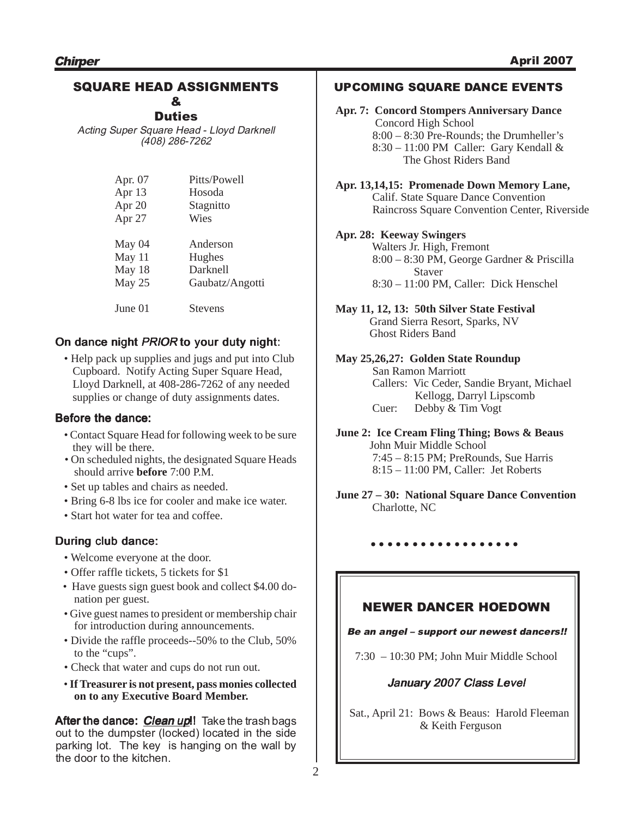#### SQUARE HEAD ASSIGNMENTS &

**Duties** 

Acting Super Square Head - Lloyd Darknell (408) 286-7262

| Apr. 07 | Pitts/Powell    |
|---------|-----------------|
| Apr 13  | Hosoda          |
| Apr 20  | Stagnitto       |
| Apr 27  | Wies            |
| May 04  | Anderson        |
| May 11  | Hughes          |
| May 18  | Darknell        |
| May 25  | Gaubatz/Angotti |
| June 01 | <b>Stevens</b>  |

#### On dance night PRIOR to your duty night:

• Help pack up supplies and jugs and put into Club Cupboard. Notify Acting Super Square Head, Lloyd Darknell, at 408-286-7262 of any needed supplies or change of duty assignments dates.

#### Before the dance:

- Contact Square Head for following week to be sure they will be there.
- On scheduled nights, the designated Square Heads should arrive **before** 7:00 P.M.
- Set up tables and chairs as needed.
- Bring 6-8 lbs ice for cooler and make ice water.
- Start hot water for tea and coffee.

#### During club dance:

- Welcome everyone at the door.
- Offer raffle tickets, 5 tickets for \$1
- Have guests sign guest book and collect \$4.00 donation per guest.
- Give guest names to president or membership chair for introduction during announcements.
- Divide the raffle proceeds--50% to the Club, 50% to the "cups".
- Check that water and cups do not run out.
- **If Treasurer is not present, pass monies collected on to any Executive Board Member.**

After the dance: *Clean up*!! Take the trash bags out to the dumpster (locked) located in the side parking lot. The key is hanging on the wall by the door to the kitchen.

#### UPCOMING SQUARE DANCE EVENTS

**Apr. 7: Concord Stompers Anniversary Dance** Concord High School 8:00 – 8:30 Pre-Rounds; the Drumheller's 8:30 – 11:00 PM Caller: Gary Kendall & The Ghost Riders Band

**Apr. 13,14,15: Promenade Down Memory Lane,** Calif. State Square Dance Convention Raincross Square Convention Center, Riverside

#### **Apr. 28: Keeway Swingers**

 Walters Jr. High, Fremont 8:00 – 8:30 PM, George Gardner & Priscilla Staver 8:30 – 11:00 PM, Caller: Dick Henschel

**May 11, 12, 13: 50th Silver State Festival** Grand Sierra Resort, Sparks, NV Ghost Riders Band

#### **May 25,26,27: Golden State Roundup** San Ramon Marriott

 Callers: Vic Ceder, Sandie Bryant, Michael Kellogg, Darryl Lipscomb Cuer: Debby & Tim Vogt

**June 2: Ice Cream Fling Thing; Bows & Beaus** John Muir Middle School 7:45 – 8:15 PM; PreRounds, Sue Harris 8:15 – 11:00 PM, Caller: Jet Roberts

**June 27 – 30: National Square Dance Convention** Charlotte, NC

#### ○○○○○○○○○○○○○○○○○○

#### NEWER DANCER HOEDOWN

#### Be an angel – support our newest dancers!!

7:30 – 10:30 PM; John Muir Middle School

#### January 2007 Class Level

Sat., April 21: Bows & Beaus: Harold Fleeman & Keith Ferguson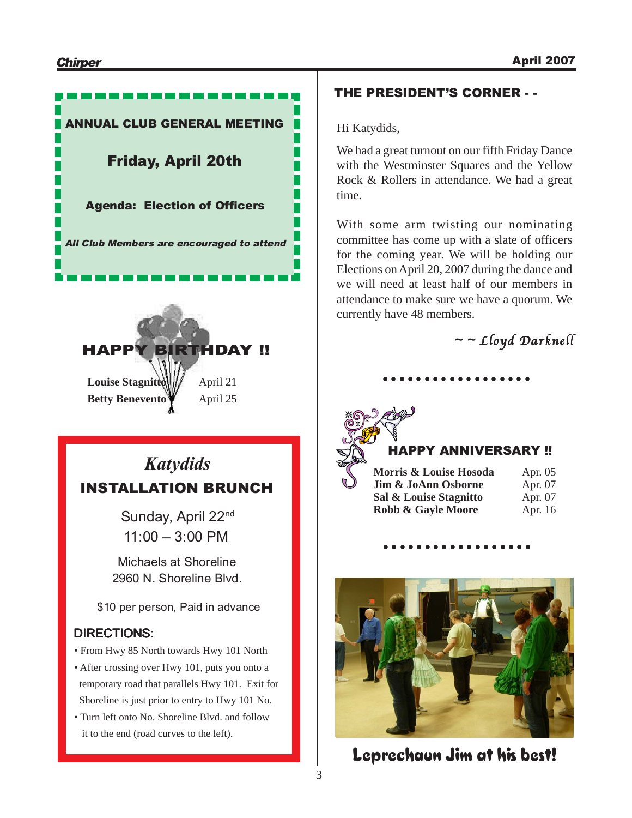

#### THE PRESIDENT'S CORNER - -

Hi Katydids,

We had a great turnout on our fifth Friday Dance with the Westminster Squares and the Yellow Rock & Rollers in attendance. We had a great time.

With some arm twisting our nominating committee has come up with a slate of officers for the coming year. We will be holding our Elections on April 20, 2007 during the dance and we will need at least half of our members in attendance to make sure we have a quorum. We currently have 48 members.

○○○○○○○○○○○○○○○○○○

 $\sim$  - Lloyd Darknell



#### HAPPY ANNIVERSARY !!

| Morris & Louise Hosoda | Apr. 05 |
|------------------------|---------|
| Jim & JoAnn Osborne    | Apr. 07 |
| Sal & Louise Stagnitto | Apr. 07 |
| Robb & Gayle Moore     | Apr. 16 |
|                        |         |

○ ○○○○○○○○○○○○○○○○○



Leprechaun Jim at his best!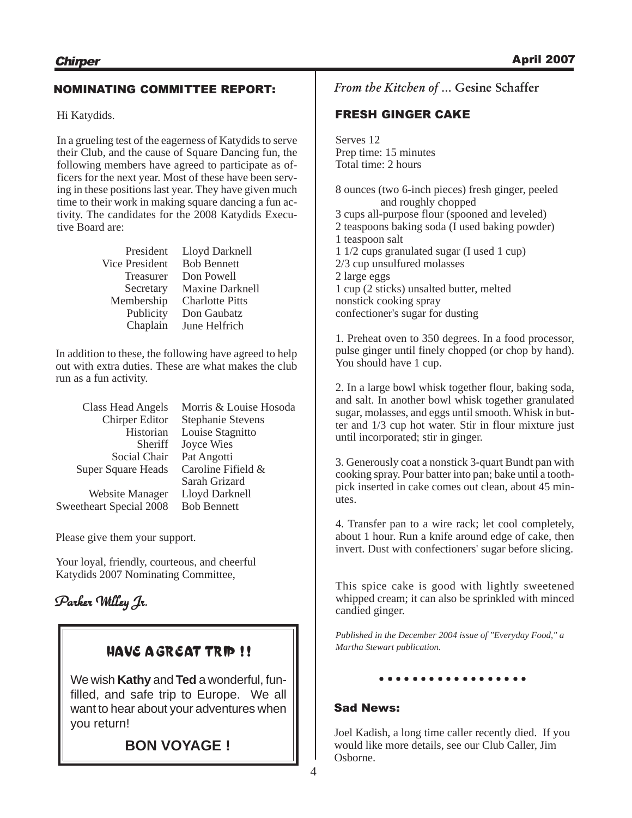#### NOMINATING COMMITTEE REPORT:

Hi Katydids.

In a grueling test of the eagerness of Katydids to serve their Club, and the cause of Square Dancing fun, the following members have agreed to participate as officers for the next year. Most of these have been serving in these positions last year. They have given much time to their work in making square dancing a fun activity. The candidates for the 2008 Katydids Executive Board are:

| President             | Lloyd Darknell         |
|-----------------------|------------------------|
| <b>Vice President</b> | <b>Bob Bennett</b>     |
| Treasurer             | Don Powell             |
| Secretary             | <b>Maxine Darknell</b> |
| Membership            | <b>Charlotte Pitts</b> |
| Publicity             | Don Gaubatz            |
| Chaplain              | June Helfrich          |

In addition to these, the following have agreed to help out with extra duties. These are what makes the club run as a fun activity.

| <b>Class Head Angels</b>  | Morris & Louise Hosoda   |
|---------------------------|--------------------------|
| <b>Chirper Editor</b>     | <b>Stephanie Stevens</b> |
| Historian                 | Louise Stagnitto         |
| Sheriff                   | Joyce Wies               |
| Social Chair              | Pat Angotti              |
| <b>Super Square Heads</b> | Caroline Fifield &       |
|                           | Sarah Grizard            |
| Website Manager           | Lloyd Darknell           |
| Sweetheart Special 2008   | <b>Bob Bennett</b>       |
|                           |                          |

Please give them your support.

Your loyal, friendly, courteous, and cheerful Katydids 2007 Nominating Committee,

## Parker Willey Jr.

### HAVE A GREAT TRIP !!

We wish **Kathy** and **Ted** a wonderful, funfilled, and safe trip to Europe. We all want to hear about your adventures when you return!

**BON VOYAGE !**

From the Kitchen of … Gesine Schaffer

#### FRESH GINGER CAKE

Serves 12 Prep time: 15 minutes Total time: 2 hours

8 ounces (two 6-inch pieces) fresh ginger, peeled and roughly chopped 3 cups all-purpose flour (spooned and leveled) 2 teaspoons baking soda (I used baking powder) 1 teaspoon salt 1 1/2 cups granulated sugar (I used 1 cup) 2/3 cup unsulfured molasses 2 large eggs 1 cup (2 sticks) unsalted butter, melted nonstick cooking spray confectioner's sugar for dusting

1. Preheat oven to 350 degrees. In a food processor, pulse ginger until finely chopped (or chop by hand). You should have 1 cup.

2. In a large bowl whisk together flour, baking soda, and salt. In another bowl whisk together granulated sugar, molasses, and eggs until smooth. Whisk in butter and 1/3 cup hot water. Stir in flour mixture just until incorporated; stir in ginger.

3. Generously coat a nonstick 3-quart Bundt pan with cooking spray. Pour batter into pan; bake until a toothpick inserted in cake comes out clean, about 45 minutes.

4. Transfer pan to a wire rack; let cool completely, about 1 hour. Run a knife around edge of cake, then invert. Dust with confectioners' sugar before slicing.

This spice cake is good with lightly sweetened whipped cream; it can also be sprinkled with minced candied ginger.

*Published in the December 2004 issue of "Everyday Food," a Martha Stewart publication.*

#### ○ ○○○○○○○○○○○○○○○○○

#### Sad News:

Joel Kadish, a long time caller recently died. If you would like more details, see our Club Caller, Jim Osborne.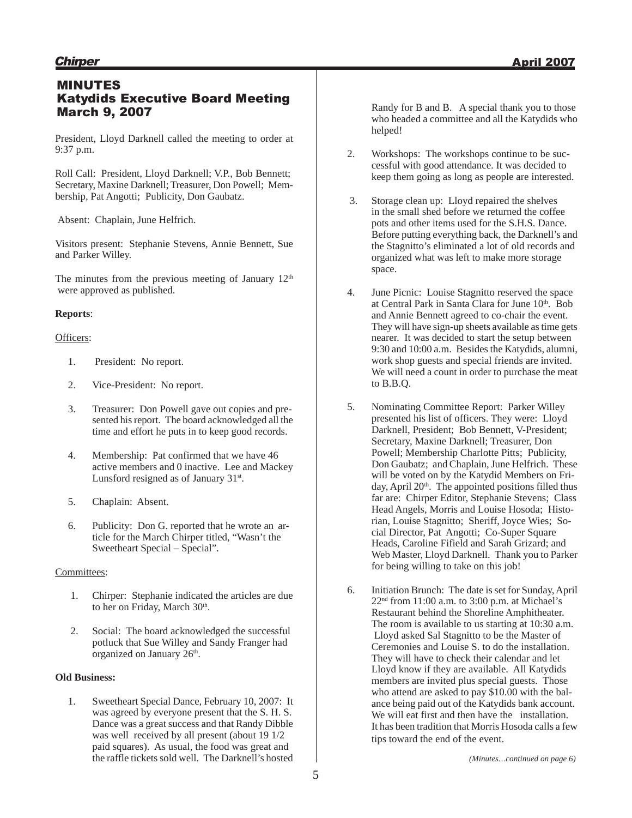#### MINUTES Katydids Executive Board Meeting March 9, 2007

President, Lloyd Darknell called the meeting to order at 9:37 p.m.

Roll Call: President, Lloyd Darknell; V.P., Bob Bennett; Secretary, Maxine Darknell; Treasurer, Don Powell; Membership, Pat Angotti; Publicity, Don Gaubatz.

Absent: Chaplain, June Helfrich.

Visitors present: Stephanie Stevens, Annie Bennett, Sue and Parker Willey.

The minutes from the previous meeting of January  $12<sup>th</sup>$ were approved as published.

#### **Reports**:

#### Officers:

- 1. President: No report.
- 2. Vice-President: No report.
- 3. Treasurer: Don Powell gave out copies and presented his report. The board acknowledged all the time and effort he puts in to keep good records.
- 4. Membership: Pat confirmed that we have 46 active members and 0 inactive. Lee and Mackey Lunsford resigned as of January  $31<sup>st</sup>$ .
- 5. Chaplain: Absent.
- 6. Publicity: Don G. reported that he wrote an article for the March Chirper titled, "Wasn't the Sweetheart Special – Special".

#### Committees:

- 1. Chirper: Stephanie indicated the articles are due to her on Friday, March 30<sup>th</sup>.
- 2. Social: The board acknowledged the successful potluck that Sue Willey and Sandy Franger had organized on January 26<sup>th</sup>.

#### **Old Business:**

1. Sweetheart Special Dance, February 10, 2007: It was agreed by everyone present that the S. H. S. Dance was a great success and that Randy Dibble was well received by all present (about 19 1/2 paid squares). As usual, the food was great and the raffle tickets sold well. The Darknell's hosted

- 2. Workshops: The workshops continue to be successful with good attendance. It was decided to keep them going as long as people are interested.
- 3. Storage clean up: Lloyd repaired the shelves in the small shed before we returned the coffee pots and other items used for the S.H.S. Dance. Before putting everything back, the Darknell's and the Stagnitto's eliminated a lot of old records and organized what was left to make more storage space.
- 4. June Picnic: Louise Stagnitto reserved the space at Central Park in Santa Clara for June 10<sup>th</sup>. Bob and Annie Bennett agreed to co-chair the event. They will have sign-up sheets available as time gets nearer. It was decided to start the setup between 9:30 and 10:00 a.m. Besides the Katydids, alumni, work shop guests and special friends are invited. We will need a count in order to purchase the meat to B.B.Q.
- 5. Nominating Committee Report: Parker Willey presented his list of officers. They were: Lloyd Darknell, President; Bob Bennett, V-President; Secretary, Maxine Darknell; Treasurer, Don Powell; Membership Charlotte Pitts; Publicity, Don Gaubatz; and Chaplain, June Helfrich. These will be voted on by the Katydid Members on Friday, April 20<sup>th</sup>. The appointed positions filled thus far are: Chirper Editor, Stephanie Stevens; Class Head Angels, Morris and Louise Hosoda; Historian, Louise Stagnitto; Sheriff, Joyce Wies; Social Director, Pat Angotti; Co-Super Square Heads, Caroline Fifield and Sarah Grizard; and Web Master, Lloyd Darknell. Thank you to Parker for being willing to take on this job!
- 6. Initiation Brunch: The date is set for Sunday, April 22nd from 11:00 a.m. to 3:00 p.m. at Michael's Restaurant behind the Shoreline Amphitheater. The room is available to us starting at 10:30 a.m. Lloyd asked Sal Stagnitto to be the Master of Ceremonies and Louise S. to do the installation. They will have to check their calendar and let Lloyd know if they are available. All Katydids members are invited plus special guests. Those who attend are asked to pay \$10.00 with the balance being paid out of the Katydids bank account. We will eat first and then have the installation. It has been tradition that Morris Hosoda calls a few tips toward the end of the event.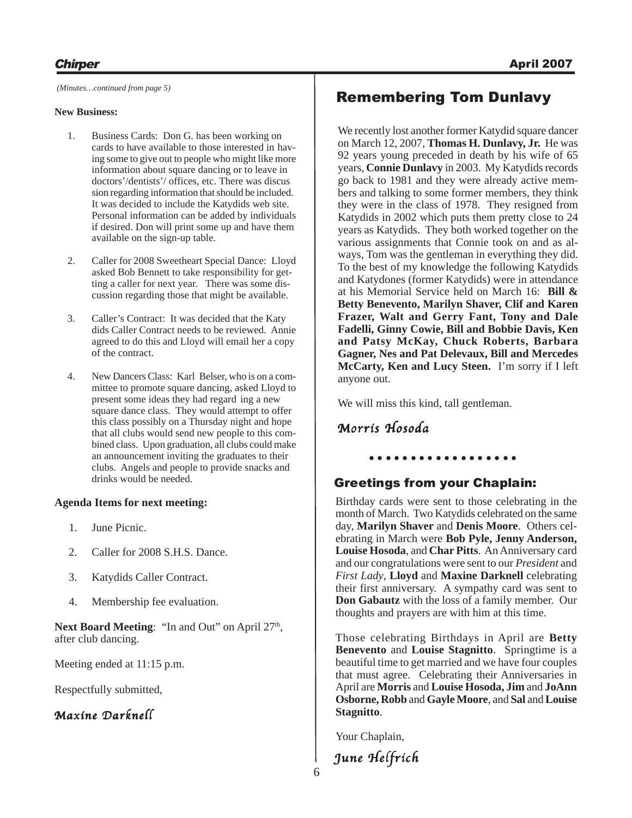#### **New Business:**

- 1. Business Cards: Don G. has been working on cards to have available to those interested in having some to give out to people who might like more information about square dancing or to leave in doctors'/dentists'/ offices, etc. There was discus sion regarding information that should be included. It was decided to include the Katydids web site. Personal information can be added by individuals if desired. Don will print some up and have them available on the sign-up table.
- 2. Caller for 2008 Sweetheart Special Dance: Lloyd asked Bob Bennett to take responsibility for getting a caller for next year. There was some discussion regarding those that might be available.
- 3. Caller's Contract: It was decided that the Katy dids Caller Contract needs to be reviewed. Annie agreed to do this and Lloyd will email her a copy of the contract.
- 4. New Dancers Class: Karl Belser, who is on a committee to promote square dancing, asked Lloyd to present some ideas they had regard ing a new square dance class. They would attempt to offer this class possibly on a Thursday night and hope that all clubs would send new people to this combined class. Upon graduation, all clubs could make an announcement inviting the graduates to their clubs. Angels and people to provide snacks and drinks would be needed.

#### **Agenda Items for next meeting:**

- 1. June Picnic.
- 2. Caller for 2008 S.H.S. Dance.
- 3. Katydids Caller Contract.
- 4. Membership fee evaluation.

Next Board Meeting: "In and Out" on April 27<sup>th</sup>, after club dancing.

Meeting ended at 11:15 p.m.

Respectfully submitted,

#### Maxine Darknell

## Remembering Tom Dunlavy *(Minutes…continued from page 5)*

We recently lost another former Katydid square dancer on March 12, 2007, **Thomas H. Dunlavy, Jr.** He was 92 years young preceded in death by his wife of 65 years, **Connie Dunlavy** in 2003. My Katydids records go back to 1981 and they were already active members and talking to some former members, they think they were in the class of 1978. They resigned from Katydids in 2002 which puts them pretty close to 24 years as Katydids. They both worked together on the various assignments that Connie took on and as always, Tom was the gentleman in everything they did. To the best of my knowledge the following Katydids and Katydones (former Katydids) were in attendance at his Memorial Service held on March 16: **Bill & Betty Benevento, Marilyn Shaver, Clif and Karen Frazer, Walt and Gerry Fant, Tony and Dale Fadelli, Ginny Cowie, Bill and Bobbie Davis, Ken and Patsy McKay, Chuck Roberts, Barbara Gagner, Nes and Pat Delevaux, Bill and Mercedes McCarty, Ken and Lucy Steen.** I'm sorry if I left anyone out.

We will miss this kind, tall gentleman.

#### Morris Hosoda

#### Greetings from your Chaplain:

○ ○○○○○○○○○○○○○○○○○

Birthday cards were sent to those celebrating in the month of March. Two Katydids celebrated on the same day, **Marilyn Shaver** and **Denis Moore**. Others celebrating in March were **Bob Pyle, Jenny Anderson, Louise Hosoda**, and **Char Pitts**. An Anniversary card and our congratulations were sent to our *President* and *First Lady*, **Lloyd** and **Maxine Darknell** celebrating their first anniversary. A sympathy card was sent to **Don Gabautz** with the loss of a family member. Our thoughts and prayers are with him at this time.

Those celebrating Birthdays in April are **Betty Benevento** and **Louise Stagnitto**. Springtime is a beautiful time to get married and we have four couples that must agree. Celebrating their Anniversaries in April are **Morris** and **Louise Hosoda, Jim** and **JoAnn Osborne, Robb** and **Gayle Moore**, and **Sal** and **Louise Stagnitto**.

Your Chaplain,

June Helfrich

6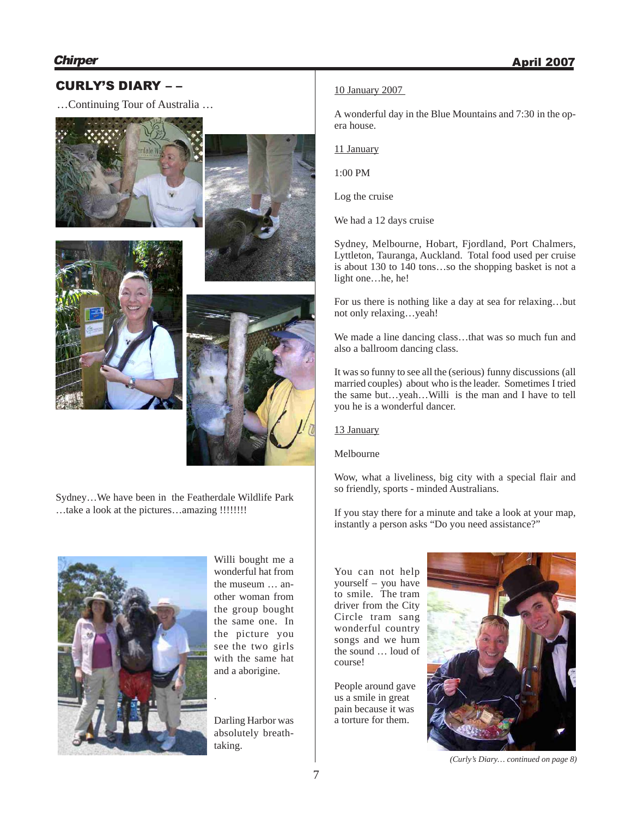#### CURLY'S DIARY – –

…Continuing Tour of Australia …









Sydney…We have been in the Featherdale Wildlife Park …take a look at the pictures…amazing !!!!!!!!



Willi bought me a wonderful hat from the museum … another woman from the group bought the same one. In the picture you see the two girls with the same hat and a aborigine.

Darling Harbor was absolutely breathtaking.

#### 10 January 2007

A wonderful day in the Blue Mountains and 7:30 in the opera house.

11 January

1:00 PM

Log the cruise

We had a 12 days cruise

Sydney, Melbourne, Hobart, Fjordland, Port Chalmers, Lyttleton, Tauranga, Auckland. Total food used per cruise is about 130 to 140 tons…so the shopping basket is not a light one…he, he!

For us there is nothing like a day at sea for relaxing…but not only relaxing…yeah!

We made a line dancing class…that was so much fun and also a ballroom dancing class.

It was so funny to see all the (serious) funny discussions (all married couples) about who is the leader. Sometimes I tried the same but…yeah…Willi is the man and I have to tell you he is a wonderful dancer.

13 January

Melbourne

Wow, what a liveliness, big city with a special flair and so friendly, sports - minded Australians.

If you stay there for a minute and take a look at your map, instantly a person asks "Do you need assistance?"

You can not help yourself – you have to smile. The tram driver from the City Circle tram sang wonderful country songs and we hum the sound … loud of course!

People around gave us a smile in great pain because it was a torture for them.



*(Curly's Diary… continued on page 8)*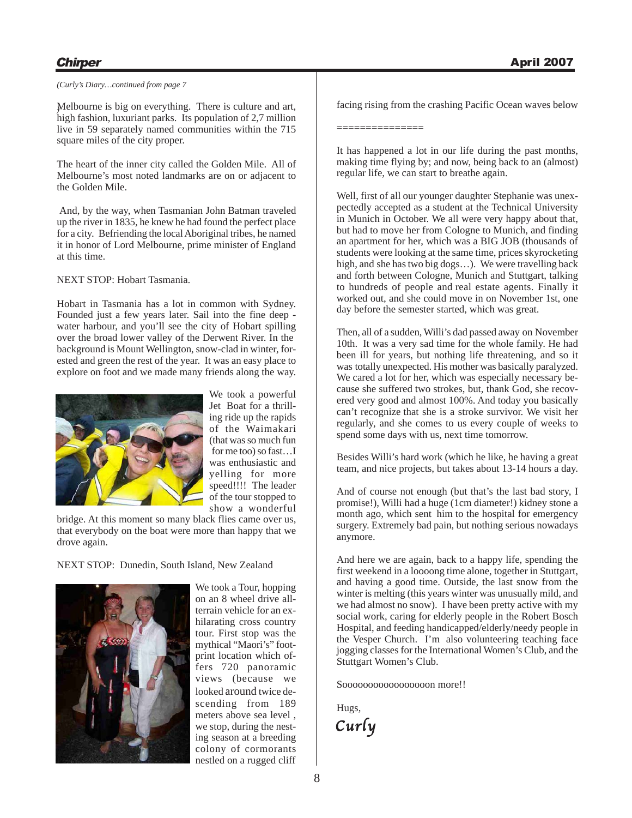#### **Chirper** April 2007

#### *(Curly's Diary…continued from page 7*

Melbourne is big on everything. There is culture and art, *)*high fashion, luxuriant parks. Its population of 2,7 million live in 59 separately named communities within the 715 square miles of the city proper.

The heart of the inner city called the Golden Mile. All of Melbourne's most noted landmarks are on or adjacent to the Golden Mile.

And, by the way, when Tasmanian John Batman traveled up the river in 1835, he knew he had found the perfect place for a city. Befriending the local Aboriginal tribes, he named it in honor of Lord Melbourne, prime minister of England at this time.

NEXT STOP: Hobart Tasmania.

Hobart in Tasmania has a lot in common with Sydney. Founded just a few years later. Sail into the fine deep water harbour, and you'll see the city of Hobart spilling over the broad lower valley of the Derwent River. In the background is Mount Wellington, snow-clad in winter, forested and green the rest of the year. It was an easy place to explore on foot and we made many friends along the way.



We took a powerful Jet Boat for a thrilling ride up the rapids of the Waimakari (that was so much fun for me too) so fast…I was enthusiastic and yelling for more speed!!!! The leader of the tour stopped to show a wonderful

bridge. At this moment so many black flies came over us, that everybody on the boat were more than happy that we drove again.

#### NEXT STOP: Dunedin, South Island, New Zealand



We took a Tour, hopping on an 8 wheel drive allterrain vehicle for an exhilarating cross country tour. First stop was the mythical "Maori's" footprint location which offers 720 panoramic views (because we looked around twice descending from 189 meters above sea level , we stop, during the nesting season at a breeding colony of cormorants nestled on a rugged cliff

facing rising from the crashing Pacific Ocean waves below

===============

It has happened a lot in our life during the past months, making time flying by; and now, being back to an (almost) regular life, we can start to breathe again.

Well, first of all our younger daughter Stephanie was unexpectedly accepted as a student at the Technical University in Munich in October. We all were very happy about that, but had to move her from Cologne to Munich, and finding an apartment for her, which was a BIG JOB (thousands of students were looking at the same time, prices skyrocketing high, and she has two big dogs...). We were travelling back and forth between Cologne, Munich and Stuttgart, talking to hundreds of people and real estate agents. Finally it worked out, and she could move in on November 1st, one day before the semester started, which was great.

Then, all of a sudden, Willi's dad passed away on November 10th. It was a very sad time for the whole family. He had been ill for years, but nothing life threatening, and so it was totally unexpected. His mother was basically paralyzed. We cared a lot for her, which was especially necessary because she suffered two strokes, but, thank God, she recovered very good and almost 100%. And today you basically can't recognize that she is a stroke survivor. We visit her regularly, and she comes to us every couple of weeks to spend some days with us, next time tomorrow.

Besides Willi's hard work (which he like, he having a great team, and nice projects, but takes about 13-14 hours a day.

And of course not enough (but that's the last bad story, I promise!), Willi had a huge (1cm diameter!) kidney stone a month ago, which sent him to the hospital for emergency surgery. Extremely bad pain, but nothing serious nowadays anymore.

And here we are again, back to a happy life, spending the first weekend in a loooong time alone, together in Stuttgart, and having a good time. Outside, the last snow from the winter is melting (this years winter was unusually mild, and we had almost no snow). I have been pretty active with my social work, caring for elderly people in the Robert Bosch Hospital, and feeding handicapped/elderly/needy people in the Vesper Church. I'm also volunteering teaching face jogging classes for the International Women's Club, and the Stuttgart Women's Club.

Sooooooooooooooooon more!!

Curly Hugs,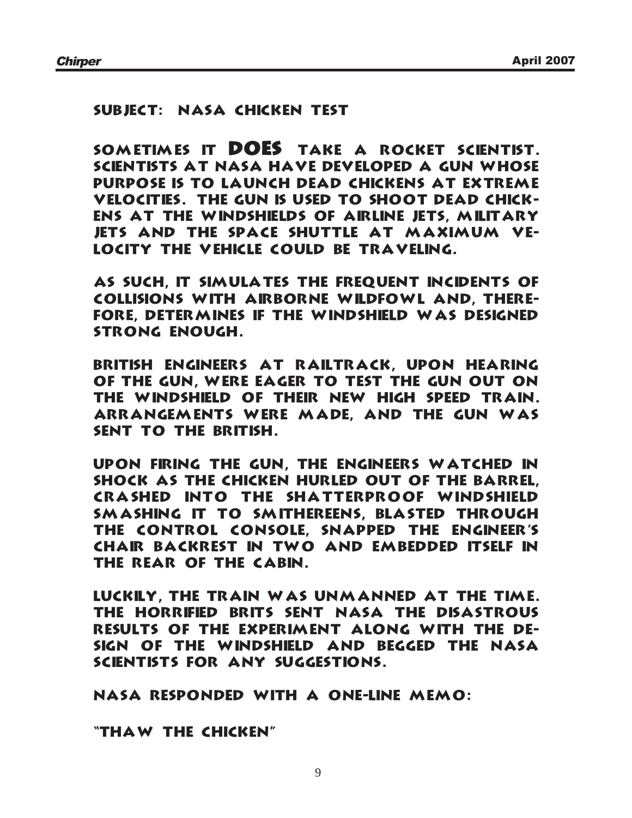#### Subject: NASA Chicken Test

Sometimes it DOES take a Rocket Scientist. Scientists at NASA have developed a gun whose purpose is to launch dead chickens at extreme velocities. The gun is used to shoot dead chickens at the windshields of airline jets, military jets and the space shuttle at maximum velocity the vehicle could be traveling.

As such, it simulates the frequent incidents of collisions with airborne wildfowl and, therefore, determines if the windshield was designed strong enough.

British engineers at Railtrack, upon hearing of the gun, were eager to test the gun out on the windshield of their new high speed train. Arrangements were made, and the gun was sent to the British.

Upon firing the gun, the engineers watched in shock as the chicken hurled out of the barrel, crashed into the shatterproof windshield smashing it to smithereens, blasted through the control console, snapped the engineer's chair backrest in two and embedded itself in the rear of the cabin.

Luckily, the train was unmanned at the time. The horrified Brits sent NASA the disastrous results of the experiment along with the design of the windshield and begged the NASA scientists for any suggestions.

NASA responded with a one-line memo:

"Thaw the Chicken"